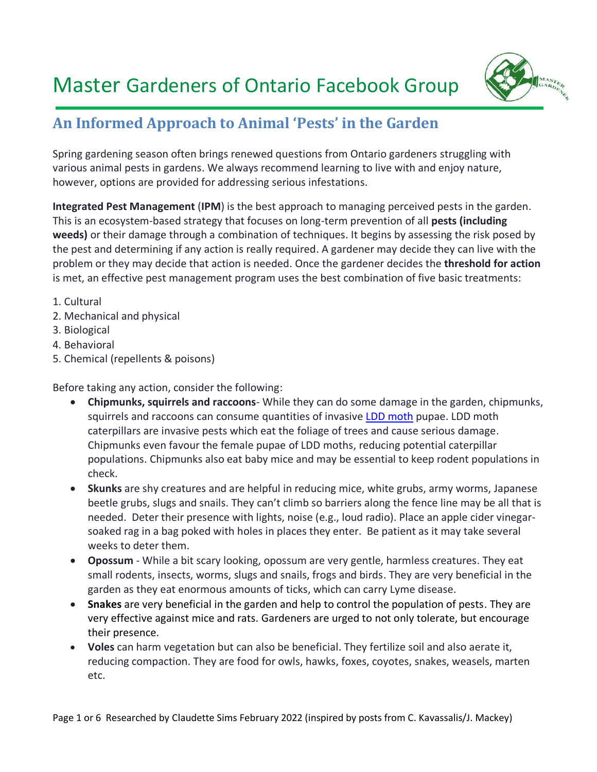

# **An Informed Approach to Animal 'Pests' in the Garden**

Spring gardening season often brings renewed questions from Ontario gardeners struggling with various animal pests in gardens. We always recommend learning to live with and enjoy nature, however, options are provided for addressing serious infestations.

**Integrated Pest Management** (**IPM**) is the best approach to managing perceived pests in the garden. This is an ecosystem-based strategy that focuses on long-term prevention of all **pests (including weeds)** or their damage through a combination of techniques. It begins by assessing the risk posed by the pest and determining if any action is really required. A gardener may decide they can live with the problem or they may decide that action is needed. Once the gardener decides the **threshold for action** is met, an effective pest management program uses the best combination of five basic treatments:

- 1. Cultural
- 2. Mechanical and physical
- 3. Biological
- 4. Behavioral
- 5. Chemical (repellents & poisons)

Before taking any action, consider the following:

- **Chipmunks, squirrels and raccoons** While they can do some damage in the garden, chipmunks, squirrels and raccoons can consume quantities of invasive [LDD moth](http://www.invadingspecies.com/invaders/forest/ldd-moth/) pupae. LDD moth caterpillars are invasive pests which eat the foliage of trees and cause serious damage. Chipmunks even favour the female pupae of LDD moths, reducing potential caterpillar populations. Chipmunks also eat baby mice and may be essential to keep rodent populations in check.
- **Skunks** are shy creatures and are helpful in reducing mice, white grubs, army worms, Japanese beetle grubs, slugs and snails. They can't climb so barriers along the fence line may be all that is needed. Deter their presence with lights, noise (e.g., loud radio). Place an apple cider vinegarsoaked rag in a bag poked with holes in places they enter. Be patient as it may take several weeks to deter them.
- **Opossum** While a bit scary looking, opossum are very gentle, harmless creatures. They eat small rodents, insects, worms, slugs and snails, frogs and birds. They are very beneficial in the garden as they eat enormous amounts of ticks, which can carry Lyme disease.
- **Snakes** are very beneficial in the garden and help to control the population of pests. They are very effective against mice and rats. Gardeners are urged to not only tolerate, but encourage their presence.
- **Voles** can harm vegetation but can also be beneficial. They fertilize soil and also aerate it, reducing compaction. They are food for owls, hawks, foxes, coyotes, snakes, weasels, marten etc.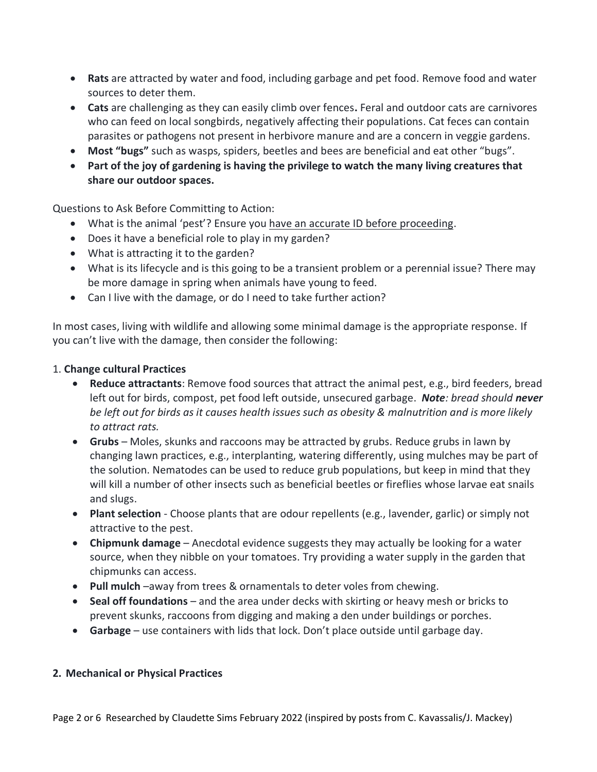- **Rats** are attracted by water and food, including garbage and pet food. Remove food and water sources to deter them.
- **Cats** are challenging as they can easily climb over fences**.** Feral and outdoor cats are carnivores who can feed on local songbirds, negatively affecting their populations. Cat feces can contain parasites or pathogens not present in herbivore manure and are a concern in veggie gardens.
- **Most "bugs"** such as wasps, spiders, beetles and bees are beneficial and eat other "bugs".
- **Part of the joy of gardening is having the privilege to watch the many living creatures that share our outdoor spaces.**

Questions to Ask Before Committing to Action:

- What is the animal 'pest'? Ensure you have an accurate ID before proceeding.
- Does it have a beneficial role to play in my garden?
- What is attracting it to the garden?
- What is its lifecycle and is this going to be a transient problem or a perennial issue? There may be more damage in spring when animals have young to feed.
- Can I live with the damage, or do I need to take further action?

In most cases, living with wildlife and allowing some minimal damage is the appropriate response. If you can't live with the damage, then consider the following:

# 1. **Change cultural Practices**

- **Reduce attractants**: Remove food sources that attract the animal pest, e.g., bird feeders, bread left out for birds, compost, pet food left outside, unsecured garbage. *Note: bread should never be left out for birds as it causes health issues such as obesity & malnutrition and is more likely to attract rats.*
- **Grubs** Moles, skunks and raccoons may be attracted by grubs. Reduce grubs in lawn by changing lawn practices, e.g., interplanting, watering differently, using mulches may be part of the solution. Nematodes can be used to reduce grub populations, but keep in mind that they will kill a number of other insects such as beneficial beetles or fireflies whose larvae eat snails and slugs.
- **Plant selection** Choose plants that are odour repellents (e.g., lavender, garlic) or simply not attractive to the pest.
- **Chipmunk damage**  Anecdotal evidence suggests they may actually be looking for a water source, when they nibble on your tomatoes. Try providing a water supply in the garden that chipmunks can access.
- **Pull mulch** –away from trees & ornamentals to deter voles from chewing.
- **Seal off foundations** and the area under decks with skirting or heavy mesh or bricks to prevent skunks, raccoons from digging and making a den under buildings or porches.
- **Garbage**  use containers with lids that lock. Don't place outside until garbage day.

# **2. Mechanical or Physical Practices**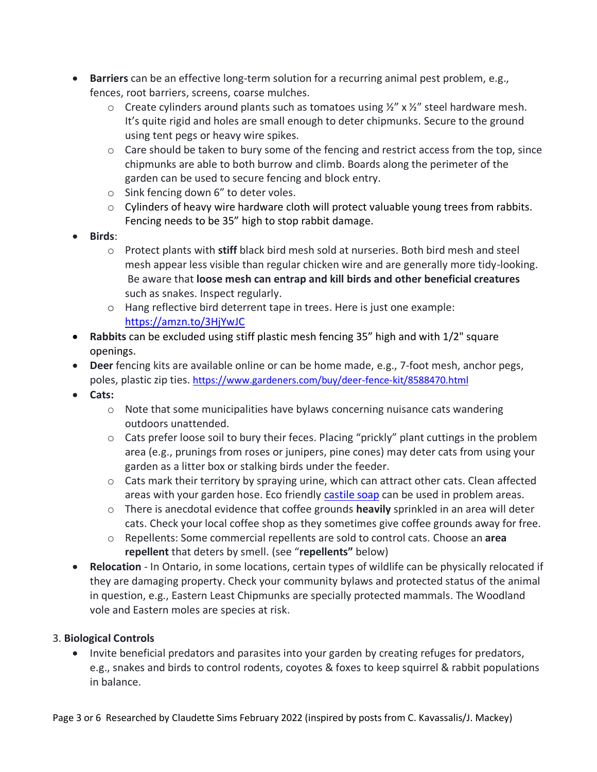- **Barriers** can be an effective long-term solution for a recurring animal pest problem, e.g., fences, root barriers, screens, coarse mulches.
	- $\circ$  Create cylinders around plants such as tomatoes using  $\frac{1}{2}$  x  $\frac{1}{2}$  steel hardware mesh. It's quite rigid and holes are small enough to deter chipmunks. Secure to the ground using tent pegs or heavy wire spikes.
	- o Care should be taken to bury some of the fencing and restrict access from the top, since chipmunks are able to both burrow and climb. Boards along the perimeter of the garden can be used to secure fencing and block entry.
	- o Sink fencing down 6" to deter voles.
	- o Cylinders of heavy wire hardware cloth will protect valuable young trees from rabbits. Fencing needs to be 35" high to stop rabbit damage.
- **Birds**:
	- o Protect plants with **stiff** black bird mesh sold at nurseries. Both bird mesh and steel mesh appear less visible than regular chicken wire and are generally more tidy-looking. Be aware that **loose mesh can entrap and kill birds and other beneficial creatures** such as snakes. Inspect regularly.
	- o Hang reflective bird deterrent tape in trees. Here is just one example: <https://amzn.to/3HjYwJC>
- **Rabbits** can be excluded using stiff plastic mesh fencing 35" high and with 1/2" square openings.
- **Deer** fencing kits are available online or can be home made, e.g., 7-foot mesh, anchor pegs, poles, plastic zip ties. <https://www.gardeners.com/buy/deer-fence-kit/8588470.html>
- **Cats:**
	- o Note that some municipalities have bylaws concerning nuisance cats wandering outdoors unattended.
	- $\circ$  Cats prefer loose soil to bury their feces. Placing "prickly" plant cuttings in the problem area (e.g., prunings from roses or junipers, pine cones) may deter cats from using your garden as a litter box or stalking birds under the feeder.
	- $\circ$  Cats mark their territory by spraying urine, which can attract other cats. Clean affected areas with your garden hose. Eco friendly [castile](https://davidsuzuki.org/queen-of-green/how-to-use-castile-soap/) soap can be used in problem areas.
	- o There is anecdotal evidence that coffee grounds **heavily** sprinkled in an area will deter cats. Check your local coffee shop as they sometimes give coffee grounds away for free.
	- o Repellents: Some commercial repellents are sold to control cats. Choose an **area repellent** that deters by smell. (see "**repellents"** below)
- **Relocation** In Ontario, in some locations, certain types of wildlife can be physically relocated if they are damaging property. Check your community bylaws and protected status of the animal in question, e.g., Eastern Least Chipmunks are specially protected mammals. The Woodland vole and Eastern moles are species at risk.

#### 3. **Biological Controls**

• Invite beneficial predators and parasites into your garden by creating refuges for predators, e.g., snakes and birds to control rodents, coyotes & foxes to keep squirrel & rabbit populations in balance.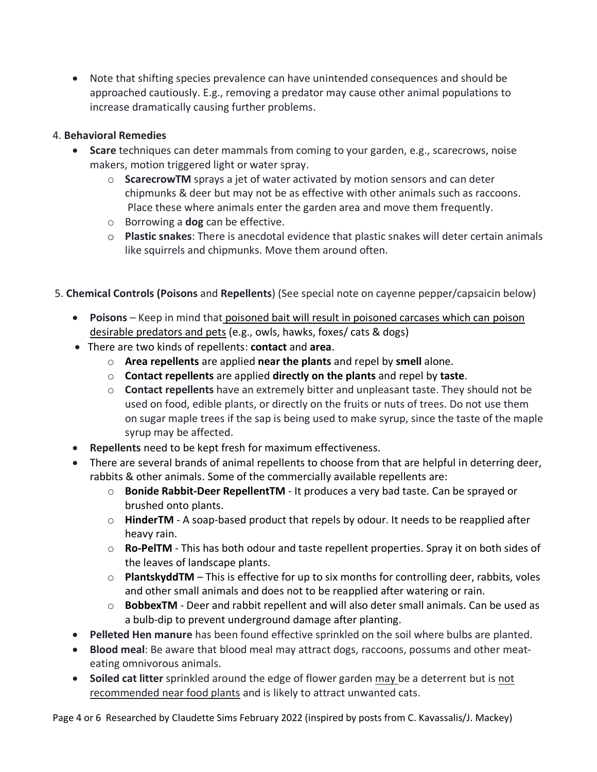• Note that shifting species prevalence can have unintended consequences and should be approached cautiously. E.g., removing a predator may cause other animal populations to increase dramatically causing further problems.

# 4. **Behavioral Remedies**

- **Scare** techniques can deter mammals from coming to your garden, e.g., scarecrows, noise makers, motion triggered light or water spray.
	- o **ScarecrowTM** sprays a jet of water activated by motion sensors and can deter chipmunks & deer but may not be as effective with other animals such as raccoons. Place these where animals enter the garden area and move them frequently.
	- o Borrowing a **dog** can be effective.
	- o **Plastic snakes**: There is anecdotal evidence that plastic snakes will deter certain animals like squirrels and chipmunks. Move them around often.
- 5. **Chemical Controls (Poisons** and **Repellents**) (See special note on cayenne pepper/capsaicin below)
	- **Poisons** Keep in mind that poisoned bait will result in poisoned carcases which can poison desirable predators and pets (e.g., owls, hawks, foxes/ cats & dogs)
	- There are two kinds of repellents: **contact** and **area**.
		- o **Area repellents** are applied **near the plants** and repel by **smell** alone.
		- o **Contact repellents** are applied **directly on the plants** and repel by **taste**.
		- o **Contact repellents** have an extremely bitter and unpleasant taste. They should not be used on food, edible plants, or directly on the fruits or nuts of trees. Do not use them on sugar maple trees if the sap is being used to make syrup, since the taste of the maple syrup may be affected.
	- **Repellents** need to be kept fresh for maximum effectiveness.
	- There are several brands of animal repellents to choose from that are helpful in deterring deer, rabbits & other animals. Some of the commercially available repellents are:
		- o **Bonide Rabbit-Deer RepellentTM** It produces a very bad taste. Can be sprayed or brushed onto plants.
		- o **HinderTM** A soap-based product that repels by odour. It needs to be reapplied after heavy rain.
		- o **Ro-PelTM** This has both odour and taste repellent properties. Spray it on both sides of the leaves of landscape plants.
		- o **PlantskyddTM** This is effective for up to six months for controlling deer, rabbits, voles and other small animals and does not to be reapplied after watering or rain.
		- o **BobbexTM** Deer and rabbit repellent and will also deter small animals. Can be used as a bulb-dip to prevent underground damage after planting.
	- **Pelleted Hen manure** has been found effective sprinkled on the soil where bulbs are planted.
	- **Blood meal**: Be aware that blood meal may attract dogs, raccoons, possums and other meateating omnivorous animals.
	- **Soiled cat litter** sprinkled around the edge of flower garden may be a deterrent but is not recommended near food plants and is likely to attract unwanted cats.

Page 4 or 6 Researched by Claudette Sims February 2022 (inspired by posts from C. Kavassalis/J. Mackey)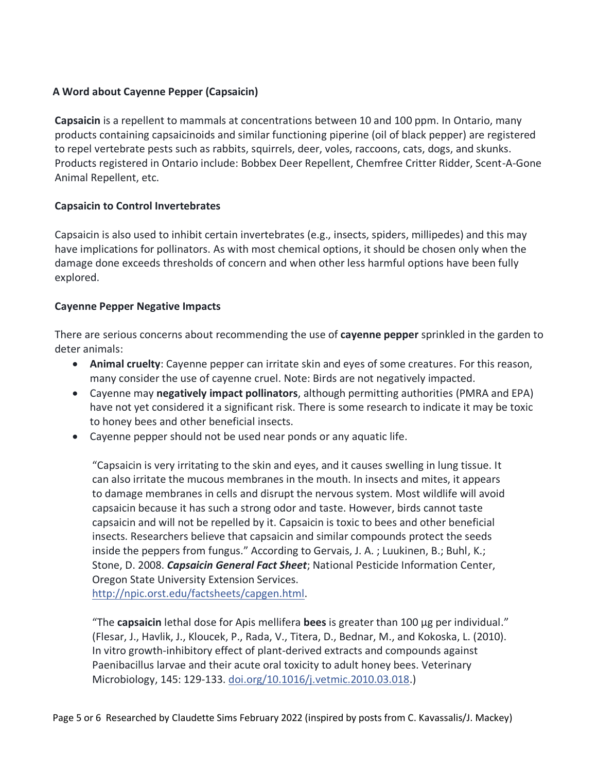### **A Word about Cayenne Pepper (Capsaicin)**

**Capsaicin** is a repellent to mammals at concentrations between 10 and 100 ppm. In Ontario, many products containing capsaicinoids and similar functioning [piperine](https://en.wikipedia.org/wiki/Piperine) (oil of black pepper) are registered to repel vertebrate pests such as rabbits, squirrels, deer, voles, raccoons, cats, dogs, and skunks. Products registered in Ontario include: Bobbex Deer Repellent, Chemfree Critter Ridder, Scent-A-Gone Animal Repellent, etc.

#### **Capsaicin to Control Invertebrates**

Capsaicin is also used to inhibit certain [invertebrates](https://en.wikipedia.org/wiki/Invertebrate) (e.g., insects, spiders, millipedes) and this may have implications for pollinators. As with most chemical options, it should be chosen only when the damage done exceeds thresholds of concern and when other less harmful options have been fully explored.

#### **Cayenne Pepper Negative Impacts**

There are serious concerns about recommending the use of **cayenne pepper** sprinkled in the garden to deter animals:

- **Animal cruelty**: Cayenne pepper can irritate skin and eyes of some creatures. For this reason, many consider the use of cayenne cruel. Note: Birds are not negatively impacted.
- Cayenne may **negatively impact pollinators**, although permitting authorities (PMRA and EPA) have not yet considered it a significant risk. There is some research to indicate it may be toxic to honey bees and other beneficial insects.
- Cayenne pepper should not be used near ponds or any aquatic life.

"Capsaicin is very irritating to the skin and eyes, and it causes swelling in lung tissue. It can also irritate the mucous membranes in the mouth. In insects and mites, it appears to damage membranes in cells and disrupt the nervous system. Most wildlife will avoid capsaicin because it has such a strong odor and taste. However, birds cannot taste capsaicin and will not be repelled by it. Capsaicin is toxic to bees and other beneficial insects. Researchers believe that capsaicin and similar compounds protect the seeds inside the peppers from fungus." According to Gervais, J. A. ; Luukinen, B.; Buhl, K.; Stone, D. 2008. *Capsaicin General Fact Sheet*; National Pesticide Information Center, Oregon State University Extension Services. [http://npic.orst.edu/factsheets/capgen.html.](https://l.facebook.com/l.php?u=http%3A%2F%2Fnpic.orst.edu%2Ffactsheets%2Fcapgen.html%3Ffbclid%3DIwAR0rcKBRjTfd6wZPg3NWI38jwUFLyJrisvpuVBe7MrK7Flj2LltXO7n2_j8&h=AT0coP3TLUzh6rOZ0V_MnXobLijwyEtbJrLp2AMJEqpXq-yPNSIAkqrvTzcfv2zdZ0xXEWuPu0wZBAX21a3rC7cRK3QwGEixPZL0qIHmg5NXgQQoPAhWre4K3-dVVL-BvPdMkwIhXE2MrVOT9V8)

"The **capsaicin** lethal dose for Apis mellifera **bees** is greater than 100 μg per individual." (Flesar, J., Havlik, J., Kloucek, P., Rada, V., Titera, D., Bednar, M., and Kokoska, L. (2010). In vitro growth-inhibitory effect of plant-derived extracts and compounds against Paenibacillus larvae and their acute oral toxicity to adult honey bees. Veterinary Microbiology, 145: 129-133. [doi.org/10.1016/j.vetmic.2010.03.018.](https://l.facebook.com/l.php?u=https%3A%2F%2Fdoi.org%2F10.1016%2Fj.vetmic.2010.03.018%3Ffbclid%3DIwAR2D_drRMxIMO3IO6r5x6Ll01iSYt3UZuqe6JpZN2_ooZTZyDxGVEiZOXZU&h=AT3iAbLIpjFxV3lSiRPekQiW3uQ9VSHdEB-Rd9A2TeRWu4PUykvgblQ01TKrOqbTJDPM7z9UGC2BQ58TVuSb6RaFx4jgOpR-yHkZGoGmnpltO_bSQMvoO72y9MY5ZDCMMLqFBKHe02d2Td2rnm8))